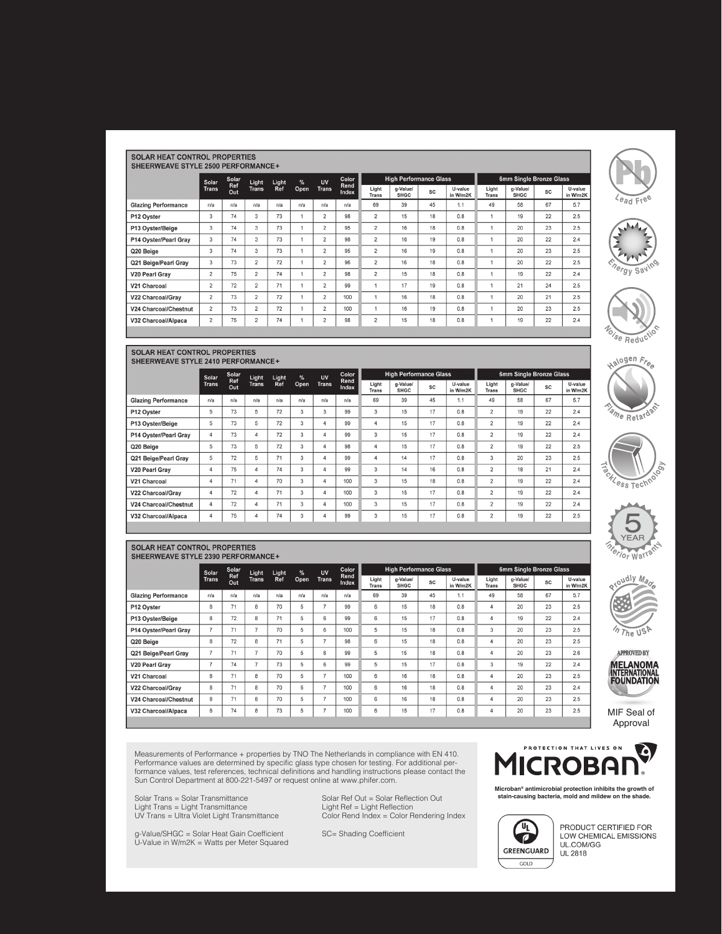|  | <b>SOLAR HEAT CONTROL PROPERTIES</b> |  |
|--|--------------------------------------|--|
|  |                                      |  |

| SHEERWEAVE STYLE 2500 PERFORMANCE+ |  |
|------------------------------------|--|
|                                    |  |

|                            | Solar          | Solar      | Light          | Light | %    | Color                   |               | UV                    |                         |    | <b>High Performance Glass</b> |                       |                         |    |                     |  | 6mm Single Bronze Glass |  |
|----------------------------|----------------|------------|----------------|-------|------|-------------------------|---------------|-----------------------|-------------------------|----|-------------------------------|-----------------------|-------------------------|----|---------------------|--|-------------------------|--|
|                            | <b>Trans</b>   | Ref<br>Out | <b>Trans</b>   | Ref   | Open | <b>Trans</b>            | Rend<br>Index | Light<br><b>Trans</b> | g-Value/<br><b>SHGC</b> | SC | U-value<br>in W/m2K           | Light<br><b>Trans</b> | g-Value/<br><b>SHGC</b> | SC | U-value<br>in W/m2k |  |                         |  |
| <b>Glazing Performance</b> | n/a            | n/a        | n/a            | n/a   | n/a  | n/a                     | n/a           | 69                    | 39                      | 45 | 1.1                           | 49                    | 58                      | 67 | 5.7                 |  |                         |  |
| P12 Oyster                 | 3              | 74         | 3              | 73    |      | $\overline{c}$          | 98            | $\overline{2}$        | 15                      | 18 | 0.8                           |                       | 19                      | 22 | 2.5                 |  |                         |  |
| P13 Oyster/Beige           | 3              | 74         | 3              | 73    | A    | $\overline{c}$          | 95            | 2                     | 16                      | 18 | 0.8                           |                       | 20                      | 23 | 2.5                 |  |                         |  |
| P14 Oyster/Pearl Gray      | 3              | 74         | 3              | 73    |      | $\overline{2}$          | 98            | $\overline{2}$        | 16                      | 19 | 0.8                           |                       | 20                      | 22 | 2.4                 |  |                         |  |
| Q20 Beige                  | 3              | 74         | 3              | 73    |      | $\overline{2}$          | 95            | $\overline{2}$        | 16                      | 19 | 0.8                           |                       | 20                      | 23 | 2.5                 |  |                         |  |
| Q21 Beige/Pearl Gray       | 3              | 73         | $\overline{2}$ | 72    | ۸    | $\overline{\mathbf{c}}$ | 96            | $\overline{2}$        | 16                      | 18 | 0.8                           |                       | 20                      | 22 | 2.5                 |  |                         |  |
| V20 Pearl Gray             | $\overline{c}$ | 75         | $\overline{2}$ | 74    |      | $\overline{c}$          | 98            | $\overline{c}$        | 15                      | 18 | 0.8                           |                       | 19                      | 22 | 2.4                 |  |                         |  |
| V21 Charcoal               | $\overline{c}$ | 72         | $\overline{2}$ | 71    | f    | $\overline{c}$          | 99            |                       | 17                      | 19 | 0.8                           |                       | 21                      | 24 | 2.5                 |  |                         |  |
| V22 Charcoal/Gray          | 2              | 73         | $\overline{2}$ | 72    |      | $\overline{c}$          | 100           |                       | 16                      | 18 | 0.8                           |                       | 20                      | 21 | 2.5                 |  |                         |  |
| V24 Charcoal/Chestnut      | $\overline{2}$ | 73         | $\overline{2}$ | 72    |      | $\overline{2}$          | 100           |                       | 16                      | 19 | 0.8                           |                       | 20                      | 23 | 2.5                 |  |                         |  |
| V32 Charcoal/Alpaca        | $\overline{2}$ | 75         | $\overline{2}$ | 74    |      | $\overline{\mathbf{c}}$ | 98            | $\overline{2}$        | 15                      | 18 | 0.8                           |                       | 19                      | 22 | 2.4                 |  |                         |  |
|                            |                |            |                |       |      |                         |               |                       |                         |    |                               |                       |                         |    |                     |  |                         |  |



SOLAR HEAT CONTROL PROPERTIES SHEERWEAVE STYLE 2390 PERFORMANCE+

**Glazing Performance** 

P14 Oyster/Pearl Gray

Q21 Beige/Pearl Gray

P13 Oyster/Beige

P12 Oyster

Q20 Beige

V20 Pearl Gray

V22 Charcoal/Gray

V24 Charcoal/Chestnut

V32 Charcoal/Alpaca

V21 Charcoal

Solar<br>Trans

 $n/a$ 

 $\overline{\mathbf{8}}$  $71$  $\mathbf{8}$ 70  $\overline{5}$  $\overline{7}$ 99

8 72 8  $71$ 5 6 99

 $\overline{7}$ 

 $^{\rm 8}$ 

 $\overline{7}$  $71$  $\overline{7}$  $70$  $\overline{5}$  $\sqrt{6}$ 99

 $\boldsymbol{7}$ 

 $\overline{\mathbf{8}}$  $\overline{71}$  $\bf{8}$  $70$  $\sqrt{5}$  $\overline{7}$ 

 $\bf 8$  $71$  $\bf 8$  $70$  $\sqrt{5}$ 

 $\mathbf{g}$  $71$  $^{\rm 8}$  $70$  $\overline{5}$  $\overline{7}$ 

 $\mathbf{8}$ 

oola<br>Ref<br>Out

 $n/a$  $n/a$ 

 $71$ 

 $\overline{72}$ 

 $74$  $\overline{\mathcal{I}}$ 73

 $74$  $\boldsymbol{8}$ 

Light<br>Trans Light<br>Ref

 $\overline{\mathcal{I}}$ 

 $^{\rm 8}$ 

 $n/a$  $n/a$ 

70

 $\overline{71}$ 

73  $\overline{5}$ 

 $\,$  5  $\,$  $\,6\,$ 

 $\overline{\phantom{0}}$ 

5  $\,6\,$ 

|                            | Solar          | Solar             | Light          | Light | %    | Color<br>UV  |               | <b>High Performance Glass</b> |                         |    |                     | 6mm Single Bronze Glass |                         |           |                     |
|----------------------------|----------------|-------------------|----------------|-------|------|--------------|---------------|-------------------------------|-------------------------|----|---------------------|-------------------------|-------------------------|-----------|---------------------|
|                            | <b>Trans</b>   | <b>Ref</b><br>Out | <b>Trans</b>   | Ref   | Open | <b>Trans</b> | Rend<br>Index | Light<br><b>Trans</b>         | a-Value/<br><b>SHGC</b> | SC | U-value<br>in W/m2K | Light<br><b>Trans</b>   | a-Value/<br><b>SHGC</b> | <b>SC</b> | U-value<br>in W/m2K |
| <b>Glazing Performance</b> | n/a            | n/a               | n/a            | n/a   | n/a  | n/a          | n/a           | 69                            | 39                      | 45 | 1.1                 | 49                      | 58                      | 67        | 5.7                 |
| P12 Oyster                 | 5              | 73                | 5              | 72    | 3    | 3            | 99            | 3                             | 15                      | 17 | 0.8                 | $\overline{2}$          | 19                      | 22        | 2.4                 |
| P13 Oyster/Beige           | 5              | 73                | 5              | 72    | 3    | 4            | 99            | 4                             | 15                      | 17 | 0.8                 | $\overline{2}$          | 19                      | 22        | 2.4                 |
| P14 Oyster/Pearl Gray      | 4              | 73                | 4              | 72    | 3    | 4            | 99            | 3                             | 15                      | 17 | 0.8                 | $\overline{2}$          | 19                      | 22        | 2.4                 |
| Q20 Beige                  | 5              | 73                | 5              | 72    | 3    | 4            | 98            | 4                             | 15                      | 17 | 0.8                 | $\overline{2}$          | 19                      | 22        | 2.5                 |
| Q21 Beige/Pearl Grav       | 5              | 72                | 5              | 71    | 3    | 4            | 99            | 4                             | 14                      | 17 | 0.8                 | 3                       | 20                      | 23        | 2.5                 |
| V20 Pearl Grav             | 4              | 75                | 4              | 74    | 3    | 4            | 99            | 3                             | 14                      | 16 | 0.8                 | $\overline{2}$          | 18                      | 21        | 2.4                 |
| V21 Charcoal               | $\overline{4}$ | 71                | $\overline{4}$ | 70    | 3    | 4            | 100           | 3                             | 15                      | 18 | 0.8                 | $\overline{2}$          | 19                      | 22        | 2.4                 |
| V22 Charcoal/Gray          | 4              | 72                | $\overline{4}$ | 71    | 3    | 4            | 100           | 3                             | 15                      | 17 | 0.8                 | $\overline{2}$          | 19                      | 22        | 2.4                 |
| V24 Charcoal/Chestnut      | 4              | 72                | 4              | 71    | 3    | 4            | 100           | 3                             | 15                      | 17 | 0.8                 | $\overline{2}$          | 19                      | 22        | 2.4                 |
| V32 Charcoal/Alpaca        | 4              | 75                | $\overline{4}$ | 74    | 3    | 4            | 99            | 3                             | 15                      | 17 | 0.8                 | $\overline{2}$          | 19                      | 22        | 2.5                 |
|                            |                |                   |                |       |      |              |               |                               |                         |    |                     |                         |                         |           |                     |

Colc<br>Ren<br>Inde

 $n/a$ 

 $\frac{1}{100}$ 

 $\overline{98}$ 

99

 $100\,$ 

 $100$ 

100

 $100$ 

Light<br>Trans

 $69$ 

 $6\overline{6}$ 

6

 $\,$  5  $\,$ 

6

 $\overline{5}$ 

5

 $\sqrt{6}$ 

 $\mathbf{6}$ 

 $_{6}$ 

 $_{6}$ 

UV<br>Trans  $\frac{\%}{\text{Open}}$ 

 $n/a$ 

 $\overline{7}$ 

 $\overline{7}$ 

**High Performance Glass** 

sc

 $45$ 

 $18$ 

17

18

 $\frac{1}{18}$ 

 $18$ 

17

 $\overline{18}$ 

 $18$ 

18

 $\overline{17}$ 

U-value<br>n W/m2K

 $1.1$ 

 $0.8$ 

 $0.8$ 

 $0.8$ 

 $\overline{0.8}$ 

 $0.8$ 

 $0.8$ 

 $0.8\,$ 

 $0.8\,$ 

 $0.8$ 

 $0.8$ 

g-Value/<br>SHGC

 $39$ 

15

15

 $\overline{15}$ 

 $\overline{15}$ 

 $15$ 

15

 $\overline{16}$ 

 $16$ 

 $16$ 

15



**P** 

 $\aleph$ 

 $\sqrt{e_{ad} + e^e}$ 

 $\overline{AB}$ 

**<sup>E</sup>nerg<sup>y</sup> <sup>S</sup>avin<sup>g</sup>**

**<sup>E</sup>nerg<sup>y</sup> <sup>S</sup>avin<sup>g</sup>**

Voise Reduction

alogen Free









MIF Seal of MIF Seal of Approval Approval

asurements of Performance + properties by TNO The Netherlands in compliance with EN 410.<br>formance values are determined by specific glass type chosen for testing. For additional per-<br>mance values, test references, technica Sun Control Department at 800-221-5497 or request online at www.phifer.com. Sun Control Department at 800-221-5497 or request online at www.phifer.com. Measurements of Performance + properties by TNO The Netherlands in compliance with EN 410.<br>Performance values are determined by specific glass type chosen for testing. For additional per-<br>formance values, test references,

Light Trans = Light Transmittance Light Ref = Light Reflection Light Trans = Light Transmittance Light Ref = Light Reflection UV Trans = Ultra Violet Light Transmittance

g-Value/SHGC = Solar Heat Gain Coefficient SC= Shading Coefficient U-Value in W/m2K = Watts per Meter Squared U-Value in W/m2K = Watts per Meter Squared

Solar Trans = Solar Transmittance Solar Ref Out = Solar Reflection Out Eight Transmittance Color Rendering Index Color Rend



U-value

n W/m2

 $5.7$ 

 $2.5$ 

 $2.4$ 

 $2.5$ 

 $\overline{2.5}$ 

 $2.6$ 

 $2.4$ 

 $2.5\,$ 

 $2.4\,$ 

 $2.5$ 

 $2.5$ 

Microban® antimicrobial protection inhibits the growth of<br>stain-causing bacteria, mold and mildew on the shade.



6mm Single Bronze Glass

sc

67

 $23$ 

22

23

 $\overline{23}$ 

 $23$ 

22

23

23

23

 $\overline{23}$ 

g-Value/<br>SHGC

 $58\,$ 

 $20$ 

19

 $20$ 

 $\overline{20}$ 

 $\overline{20}$ 

19

 $20\,$ 

 $\overline{20}$ 

 $20$ 

 $\overline{20}$ 

Light<br>Trans

 $49$ 

 $\overline{4}$ 

 $\overline{4}$ 

 $\mathsf 3$ 

 $\overline{4}$ 

 $\overline{4}$ 

 $\mathbf{3}$ 

 $\overline{4}$ 

 $\overline{4}$ 

 $\overline{4}$ 

 $\overline{4}$ 

PRODUCT CERTIFIED FOR LOW CHEMICAL EMISSIONS<br>UL.COM/GG **UL 2818**